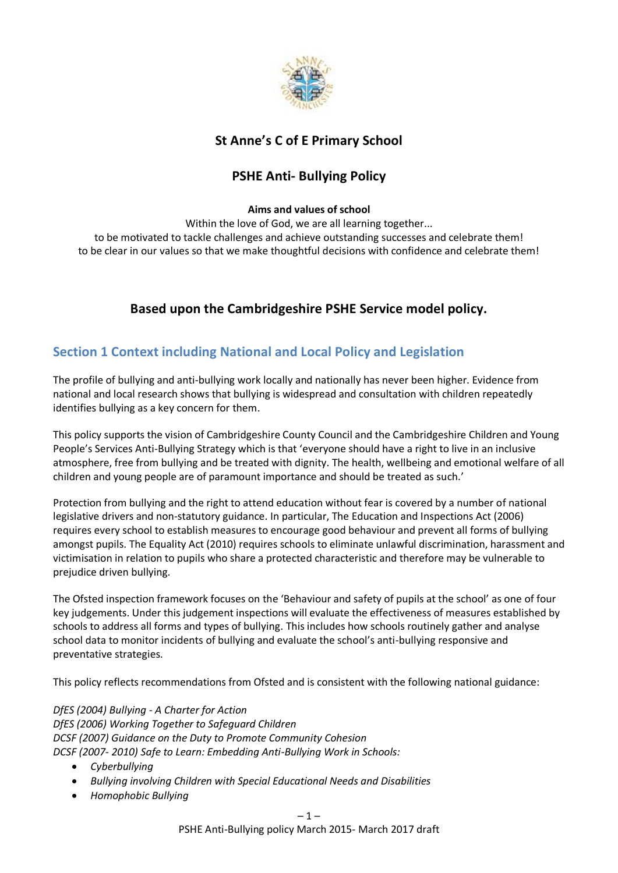

# **St Anne's C of E Primary School**

# **PSHE Anti- Bullying Policy**

#### **Aims and values of school**

Within the love of God, we are all learning together... to be motivated to tackle challenges and achieve outstanding successes and celebrate them! to be clear in our values so that we make thoughtful decisions with confidence and celebrate them!

# **Based upon the Cambridgeshire PSHE Service model policy.**

## **Section 1 Context including National and Local Policy and Legislation**

The profile of bullying and anti-bullying work locally and nationally has never been higher. Evidence from national and local research shows that bullying is widespread and consultation with children repeatedly identifies bullying as a key concern for them.

This policy supports the vision of Cambridgeshire County Council and the Cambridgeshire Children and Young People's Services Anti-Bullying Strategy which is that 'everyone should have a right to live in an inclusive atmosphere, free from bullying and be treated with dignity. The health, wellbeing and emotional welfare of all children and young people are of paramount importance and should be treated as such.'

Protection from bullying and the right to attend education without fear is covered by a number of national legislative drivers and non-statutory guidance. In particular, The Education and Inspections Act (2006) requires every school to establish measures to encourage good behaviour and prevent all forms of bullying amongst pupils. The Equality Act (2010) requires schools to eliminate unlawful discrimination, harassment and victimisation in relation to pupils who share a protected characteristic and therefore may be vulnerable to prejudice driven bullying.

The Ofsted inspection framework focuses on the 'Behaviour and safety of pupils at the school' as one of four key judgements. Under this judgement inspections will evaluate the effectiveness of measures established by schools to address all forms and types of bullying. This includes how schools routinely gather and analyse school data to monitor incidents of bullying and evaluate the school's anti-bullying responsive and preventative strategies.

This policy reflects recommendations from Ofsted and is consistent with the following national guidance:

*DfES (2004) Bullying - A Charter for Action DfES (2006) Working Together to Safeguard Children DCSF (2007) Guidance on the Duty to Promote Community Cohesion DCSF (2007- 2010) Safe to Learn: Embedding Anti-Bullying Work in Schools:*

- *Cyberbullying*
- *Bullying involving Children with Special Educational Needs and Disabilities*
- *Homophobic Bullying*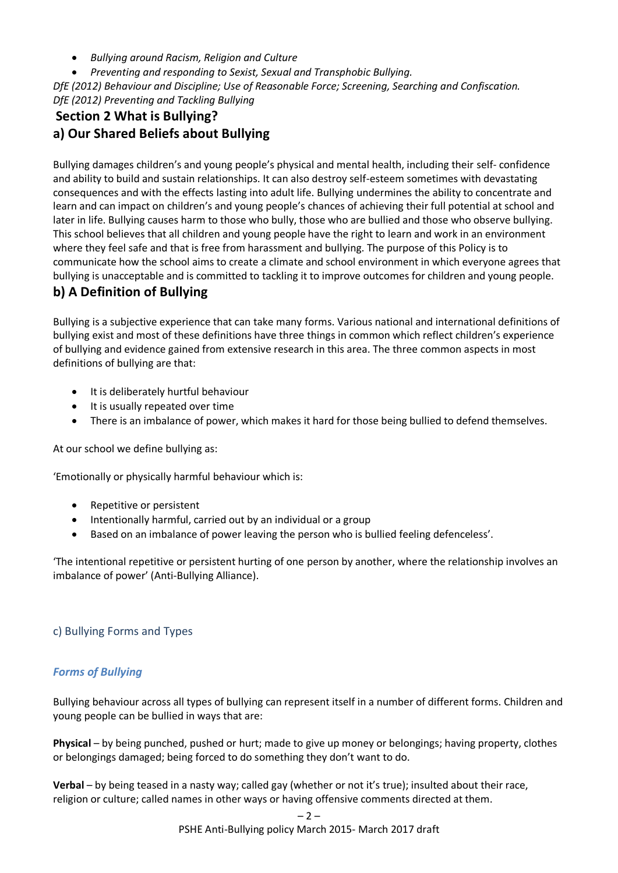- *Bullying around Racism, Religion and Culture*
- *Preventing and responding to Sexist, Sexual and Transphobic Bullying.*

*DfE (2012) Behaviour and Discipline; Use of Reasonable Force; Screening, Searching and Confiscation. DfE (2012) Preventing and Tackling Bullying*

# **Section 2 What is Bullying? a) Our Shared Beliefs about Bullying**

Bullying damages children's and young people's physical and mental health, including their self- confidence and ability to build and sustain relationships. It can also destroy self-esteem sometimes with devastating consequences and with the effects lasting into adult life. Bullying undermines the ability to concentrate and learn and can impact on children's and young people's chances of achieving their full potential at school and later in life. Bullying causes harm to those who bully, those who are bullied and those who observe bullying. This school believes that all children and young people have the right to learn and work in an environment where they feel safe and that is free from harassment and bullying. The purpose of this Policy is to communicate how the school aims to create a climate and school environment in which everyone agrees that bullying is unacceptable and is committed to tackling it to improve outcomes for children and young people.

# **b) A Definition of Bullying**

Bullying is a subjective experience that can take many forms. Various national and international definitions of bullying exist and most of these definitions have three things in common which reflect children's experience of bullying and evidence gained from extensive research in this area. The three common aspects in most definitions of bullying are that:

- $\bullet$  It is deliberately hurtful behaviour
- It is usually repeated over time
- There is an imbalance of power, which makes it hard for those being bullied to defend themselves.

At our school we define bullying as:

'Emotionally or physically harmful behaviour which is:

- Repetitive or persistent
- Intentionally harmful, carried out by an individual or a group
- Based on an imbalance of power leaving the person who is bullied feeling defenceless'.

'The intentional repetitive or persistent hurting of one person by another, where the relationship involves an imbalance of power' (Anti-Bullying Alliance).

## c) Bullying Forms and Types

## *Forms of Bullying*

Bullying behaviour across all types of bullying can represent itself in a number of different forms. Children and young people can be bullied in ways that are:

**Physical** – by being punched, pushed or hurt; made to give up money or belongings; having property, clothes or belongings damaged; being forced to do something they don't want to do.

**Verbal** – by being teased in a nasty way; called gay (whether or not it's true); insulted about their race, religion or culture; called names in other ways or having offensive comments directed at them.

PSHE Anti-Bullying policy March 2015- March 2017 draft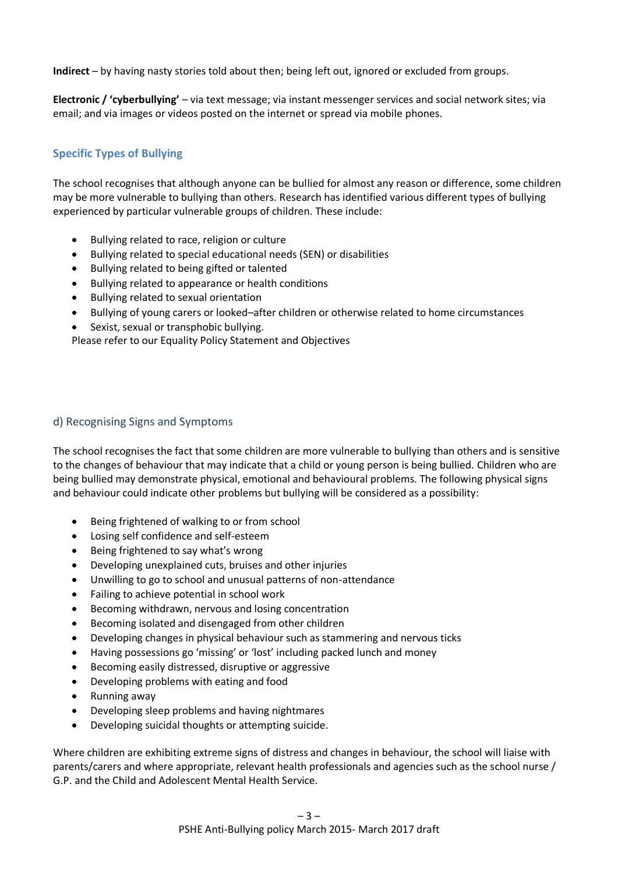**Indirect** – by having nasty stories told about then; being left out, ignored or excluded from groups.

**Electronic / 'cyberbullying'** – via text message; via instant messenger services and social network sites; via email; and via images or videos posted on the internet or spread via mobile phones.

## **Specific Types of Bullying**

The school recognises that although anyone can be bullied for almost any reason or difference, some children may be more vulnerable to bullying than others. Research has identified various different types of bullying experienced by particular vulnerable groups of children. These include:

- Bullying related to race, religion or culture
- Bullying related to special educational needs (SEN) or disabilities
- Bullying related to being gifted or talented
- Bullying related to appearance or health conditions
- Bullying related to sexual orientation
- Bullying of young carers or looked–after children or otherwise related to home circumstances
- Sexist, sexual or transphobic bullying.

Please refer to our Equality Policy Statement and Objectives

## d) Recognising Signs and Symptoms

The school recognises the fact that some children are more vulnerable to bullying than others and is sensitive to the changes of behaviour that may indicate that a child or young person is being bullied. Children who are being bullied may demonstrate physical, emotional and behavioural problems. The following physical signs and behaviour could indicate other problems but bullying will be considered as a possibility:

- Being frightened of walking to or from school
- Losing self confidence and self-esteem
- Being frightened to say what's wrong
- Developing unexplained cuts, bruises and other injuries
- Unwilling to go to school and unusual patterns of non-attendance
- Failing to achieve potential in school work
- Becoming withdrawn, nervous and losing concentration
- Becoming isolated and disengaged from other children
- Developing changes in physical behaviour such as stammering and nervous ticks
- Having possessions go 'missing' or 'lost' including packed lunch and money
- Becoming easily distressed, disruptive or aggressive
- Developing problems with eating and food
- Running away
- Developing sleep problems and having nightmares
- Developing suicidal thoughts or attempting suicide.

Where children are exhibiting extreme signs of distress and changes in behaviour, the school will liaise with parents/carers and where appropriate, relevant health professionals and agencies such as the school nurse / G.P. and the Child and Adolescent Mental Health Service.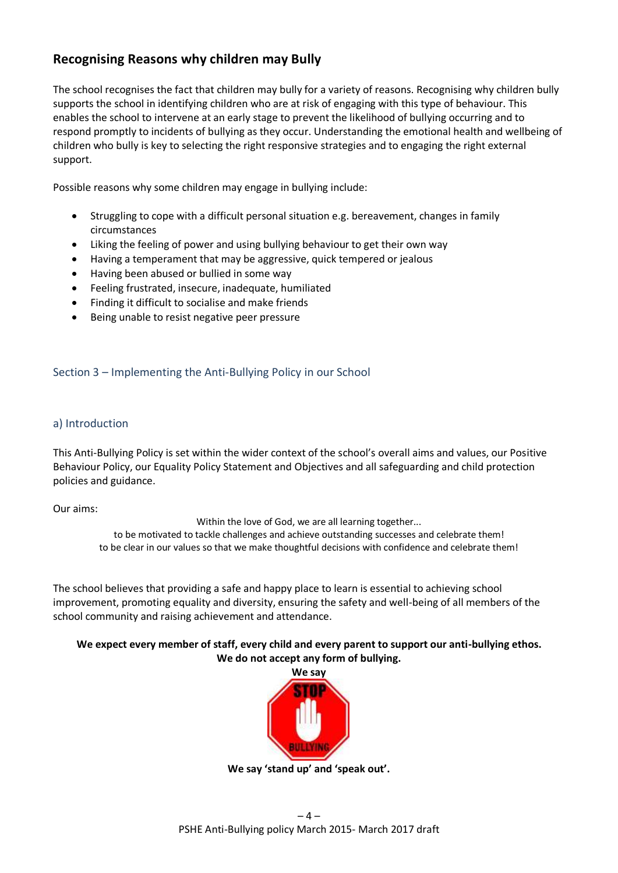## **Recognising Reasons why children may Bully**

The school recognises the fact that children may bully for a variety of reasons. Recognising why children bully supports the school in identifying children who are at risk of engaging with this type of behaviour. This enables the school to intervene at an early stage to prevent the likelihood of bullying occurring and to respond promptly to incidents of bullying as they occur. Understanding the emotional health and wellbeing of children who bully is key to selecting the right responsive strategies and to engaging the right external support.

Possible reasons why some children may engage in bullying include:

- Struggling to cope with a difficult personal situation e.g. bereavement, changes in family circumstances
- Liking the feeling of power and using bullying behaviour to get their own way
- Having a temperament that may be aggressive, quick tempered or jealous
- Having been abused or bullied in some way
- Feeling frustrated, insecure, inadequate, humiliated
- Finding it difficult to socialise and make friends
- Being unable to resist negative peer pressure

#### Section 3 – Implementing the Anti-Bullying Policy in our School

#### a) Introduction

This Anti-Bullying Policy is set within the wider context of the school's overall aims and values, our Positive Behaviour Policy, our Equality Policy Statement and Objectives and all safeguarding and child protection policies and guidance.

Our aims:

Within the love of God, we are all learning together... to be motivated to tackle challenges and achieve outstanding successes and celebrate them! to be clear in our values so that we make thoughtful decisions with confidence and celebrate them!

The school believes that providing a safe and happy place to learn is essential to achieving school improvement, promoting equality and diversity, ensuring the safety and well-being of all members of the school community and raising achievement and attendance.

#### **We expect every member of staff, every child and every parent to support our anti-bullying ethos. We do not accept any form of bullying.**



**We say 'stand up' and 'speak out'.**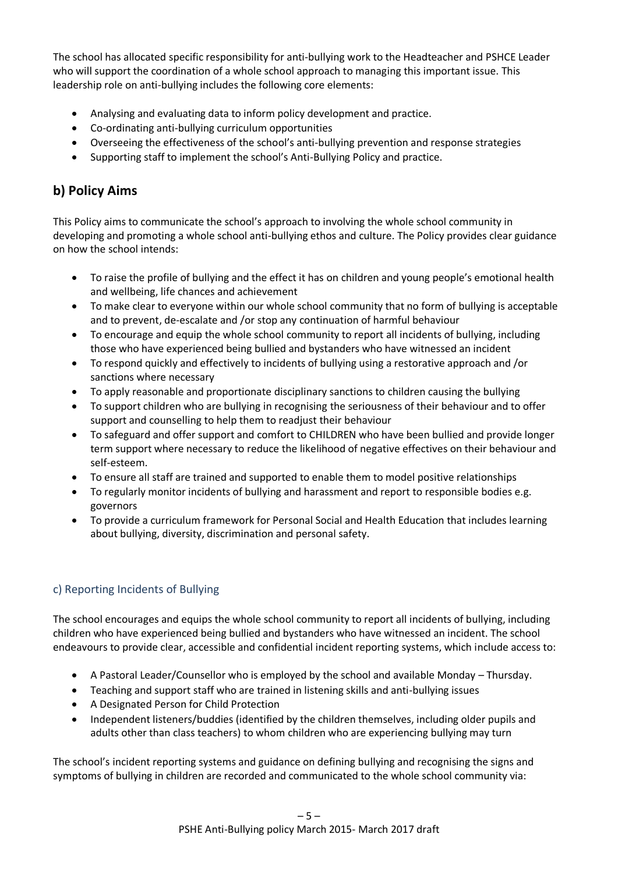The school has allocated specific responsibility for anti-bullying work to the Headteacher and PSHCE Leader who will support the coordination of a whole school approach to managing this important issue. This leadership role on anti-bullying includes the following core elements:

- Analysing and evaluating data to inform policy development and practice.
- Co-ordinating anti-bullying curriculum opportunities
- Overseeing the effectiveness of the school's anti-bullying prevention and response strategies
- Supporting staff to implement the school's Anti-Bullying Policy and practice.

## **b) Policy Aims**

This Policy aims to communicate the school's approach to involving the whole school community in developing and promoting a whole school anti-bullying ethos and culture. The Policy provides clear guidance on how the school intends:

- To raise the profile of bullying and the effect it has on children and young people's emotional health and wellbeing, life chances and achievement
- To make clear to everyone within our whole school community that no form of bullying is acceptable and to prevent, de-escalate and /or stop any continuation of harmful behaviour
- To encourage and equip the whole school community to report all incidents of bullying, including those who have experienced being bullied and bystanders who have witnessed an incident
- To respond quickly and effectively to incidents of bullying using a restorative approach and /or sanctions where necessary
- To apply reasonable and proportionate disciplinary sanctions to children causing the bullying
- To support children who are bullying in recognising the seriousness of their behaviour and to offer support and counselling to help them to readjust their behaviour
- To safeguard and offer support and comfort to CHILDREN who have been bullied and provide longer term support where necessary to reduce the likelihood of negative effectives on their behaviour and self-esteem.
- To ensure all staff are trained and supported to enable them to model positive relationships
- To regularly monitor incidents of bullying and harassment and report to responsible bodies e.g. governors
- To provide a curriculum framework for Personal Social and Health Education that includes learning about bullying, diversity, discrimination and personal safety.

## c) Reporting Incidents of Bullying

The school encourages and equips the whole school community to report all incidents of bullying, including children who have experienced being bullied and bystanders who have witnessed an incident. The school endeavours to provide clear, accessible and confidential incident reporting systems, which include access to:

- A Pastoral Leader/Counsellor who is employed by the school and available Monday Thursday.
- Teaching and support staff who are trained in listening skills and anti-bullying issues
- A Designated Person for Child Protection
- Independent listeners/buddies (identified by the children themselves, including older pupils and adults other than class teachers) to whom children who are experiencing bullying may turn

The school's incident reporting systems and guidance on defining bullying and recognising the signs and symptoms of bullying in children are recorded and communicated to the whole school community via: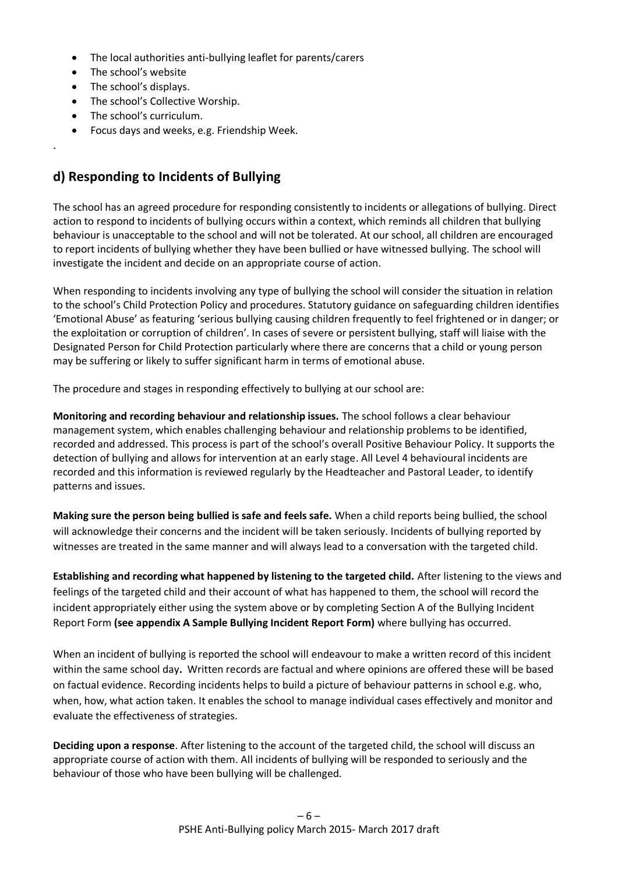- The local authorities anti-bullying leaflet for parents/carers
- The school's website
- The school's displays.

.

- The school's Collective Worship.
- The school's curriculum.
- Focus days and weeks, e.g. Friendship Week.

## **d) Responding to Incidents of Bullying**

The school has an agreed procedure for responding consistently to incidents or allegations of bullying. Direct action to respond to incidents of bullying occurs within a context, which reminds all children that bullying behaviour is unacceptable to the school and will not be tolerated. At our school, all children are encouraged to report incidents of bullying whether they have been bullied or have witnessed bullying*.* The school will investigate the incident and decide on an appropriate course of action.

When responding to incidents involving any type of bullying the school will consider the situation in relation to the school's Child Protection Policy and procedures. Statutory guidance on safeguarding children identifies 'Emotional Abuse' as featuring 'serious bullying causing children frequently to feel frightened or in danger; or the exploitation or corruption of children'. In cases of severe or persistent bullying, staff will liaise with the Designated Person for Child Protection particularly where there are concerns that a child or young person may be suffering or likely to suffer significant harm in terms of emotional abuse.

The procedure and stages in responding effectively to bullying at our school are:

**Monitoring and recording behaviour and relationship issues.** The school follows a clear behaviour management system, which enables challenging behaviour and relationship problems to be identified, recorded and addressed. This process is part of the school's overall Positive Behaviour Policy. It supports the detection of bullying and allows for intervention at an early stage. All Level 4 behavioural incidents are recorded and this information is reviewed regularly by the Headteacher and Pastoral Leader, to identify patterns and issues.

**Making sure the person being bullied is safe and feels safe.** When a child reports being bullied, the school will acknowledge their concerns and the incident will be taken seriously. Incidents of bullying reported by witnesses are treated in the same manner and will always lead to a conversation with the targeted child.

**Establishing and recording what happened by listening to the targeted child.** After listening to the views and feelings of the targeted child and their account of what has happened to them, the school will record the incident appropriately either using the system above or by completing Section A of the Bullying Incident Report Form **(see appendix A Sample Bullying Incident Report Form)** where bullying has occurred.

When an incident of bullying is reported the school will endeavour to make a written record of this incident within the same school day**.** Written records are factual and where opinions are offered these will be based on factual evidence. Recording incidents helps to build a picture of behaviour patterns in school e.g. who, when, how, what action taken. It enables the school to manage individual cases effectively and monitor and evaluate the effectiveness of strategies.

**Deciding upon a response**. After listening to the account of the targeted child, the school will discuss an appropriate course of action with them. All incidents of bullying will be responded to seriously and the behaviour of those who have been bullying will be challenged.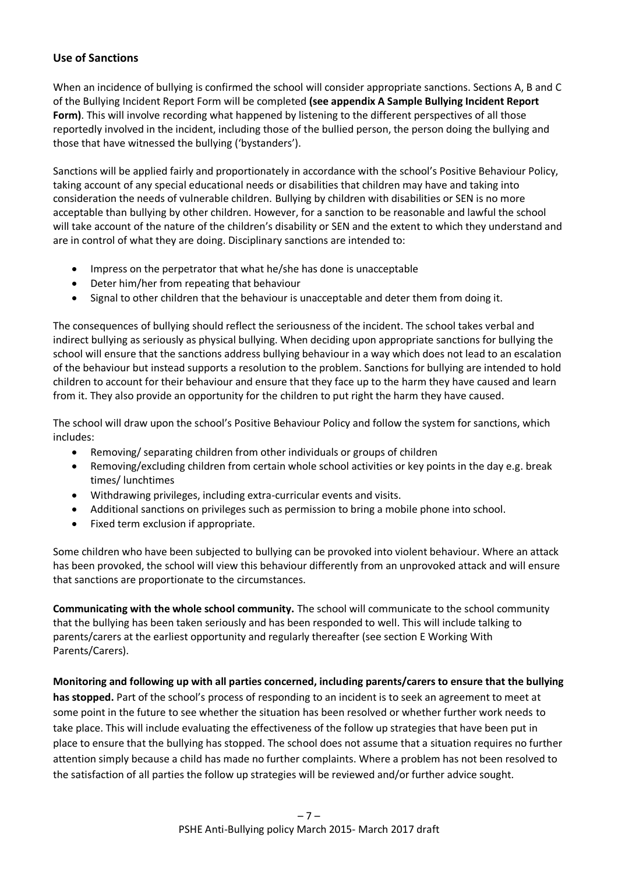#### **Use of Sanctions**

When an incidence of bullying is confirmed the school will consider appropriate sanctions. Sections A, B and C of the Bullying Incident Report Form will be completed **(see appendix A Sample Bullying Incident Report Form)**. This will involve recording what happened by listening to the different perspectives of all those reportedly involved in the incident, including those of the bullied person, the person doing the bullying and those that have witnessed the bullying ('bystanders').

Sanctions will be applied fairly and proportionately in accordance with the school's Positive Behaviour Policy, taking account of any special educational needs or disabilities that children may have and taking into consideration the needs of vulnerable children. Bullying by children with disabilities or SEN is no more acceptable than bullying by other children. However, for a sanction to be reasonable and lawful the school will take account of the nature of the children's disability or SEN and the extent to which they understand and are in control of what they are doing. Disciplinary sanctions are intended to:

- Impress on the perpetrator that what he/she has done is unacceptable
- Deter him/her from repeating that behaviour
- Signal to other children that the behaviour is unacceptable and deter them from doing it.

The consequences of bullying should reflect the seriousness of the incident. The school takes verbal and indirect bullying as seriously as physical bullying. When deciding upon appropriate sanctions for bullying the school will ensure that the sanctions address bullying behaviour in a way which does not lead to an escalation of the behaviour but instead supports a resolution to the problem. Sanctions for bullying are intended to hold children to account for their behaviour and ensure that they face up to the harm they have caused and learn from it. They also provide an opportunity for the children to put right the harm they have caused.

The school will draw upon the school's Positive Behaviour Policy and follow the system for sanctions, which includes:

- Removing/ separating children from other individuals or groups of children
- Removing/excluding children from certain whole school activities or key points in the day e.g. break times/ lunchtimes
- Withdrawing privileges, including extra-curricular events and visits.
- Additional sanctions on privileges such as permission to bring a mobile phone into school.
- Fixed term exclusion if appropriate.

Some children who have been subjected to bullying can be provoked into violent behaviour. Where an attack has been provoked, the school will view this behaviour differently from an unprovoked attack and will ensure that sanctions are proportionate to the circumstances.

**Communicating with the whole school community.** The school will communicate to the school community that the bullying has been taken seriously and has been responded to well. This will include talking to parents/carers at the earliest opportunity and regularly thereafter (see section E Working With Parents/Carers).

**Monitoring and following up with all parties concerned, including parents/carers to ensure that the bullying has stopped.** Part of the school's process of responding to an incident is to seek an agreement to meet at some point in the future to see whether the situation has been resolved or whether further work needs to take place. This will include evaluating the effectiveness of the follow up strategies that have been put in place to ensure that the bullying has stopped. The school does not assume that a situation requires no further attention simply because a child has made no further complaints. Where a problem has not been resolved to the satisfaction of all parties the follow up strategies will be reviewed and/or further advice sought*.*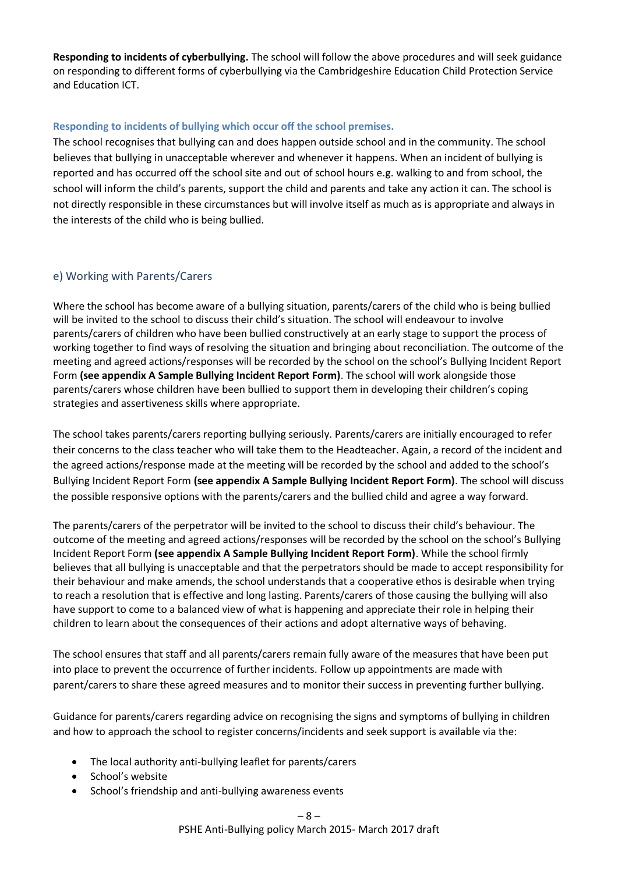**Responding to incidents of cyberbullying.** The school will follow the above procedures and will seek guidance on responding to different forms of cyberbullying via the Cambridgeshire Education Child Protection Service and Education ICT.

#### **Responding to incidents of bullying which occur off the school premises.**

The school recognises that bullying can and does happen outside school and in the community. The school believes that bullying in unacceptable wherever and whenever it happens. When an incident of bullying is reported and has occurred off the school site and out of school hours e.g. walking to and from school, the school will inform the child's parents, support the child and parents and take any action it can. The school is not directly responsible in these circumstances but will involve itself as much as is appropriate and always in the interests of the child who is being bullied.

## e) Working with Parents/Carers

Where the school has become aware of a bullying situation, parents/carers of the child who is being bullied will be invited to the school to discuss their child's situation. The school will endeavour to involve parents/carers of children who have been bullied constructively at an early stage to support the process of working together to find ways of resolving the situation and bringing about reconciliation. The outcome of the meeting and agreed actions/responses will be recorded by the school on the school's Bullying Incident Report Form **(see appendix A Sample Bullying Incident Report Form)**. The school will work alongside those parents/carers whose children have been bullied to support them in developing their children's coping strategies and assertiveness skills where appropriate.

The school takes parents/carers reporting bullying seriously. Parents/carers are initially encouraged to refer their concerns to the class teacher who will take them to the Headteacher. Again, a record of the incident and the agreed actions/response made at the meeting will be recorded by the school and added to the school's Bullying Incident Report Form **(see appendix A Sample Bullying Incident Report Form)**. The school will discuss the possible responsive options with the parents/carers and the bullied child and agree a way forward.

The parents/carers of the perpetrator will be invited to the school to discuss their child's behaviour. The outcome of the meeting and agreed actions/responses will be recorded by the school on the school's Bullying Incident Report Form **(see appendix A Sample Bullying Incident Report Form)**. While the school firmly believes that all bullying is unacceptable and that the perpetrators should be made to accept responsibility for their behaviour and make amends, the school understands that a cooperative ethos is desirable when trying to reach a resolution that is effective and long lasting. Parents/carers of those causing the bullying will also have support to come to a balanced view of what is happening and appreciate their role in helping their children to learn about the consequences of their actions and adopt alternative ways of behaving.

The school ensures that staff and all parents/carers remain fully aware of the measures that have been put into place to prevent the occurrence of further incidents. Follow up appointments are made with parent/carers to share these agreed measures and to monitor their success in preventing further bullying.

Guidance for parents/carers regarding advice on recognising the signs and symptoms of bullying in children and how to approach the school to register concerns/incidents and seek support is available via the:

- The local authority anti-bullying leaflet for parents/carers
- School's website
- School's friendship and anti-bullying awareness events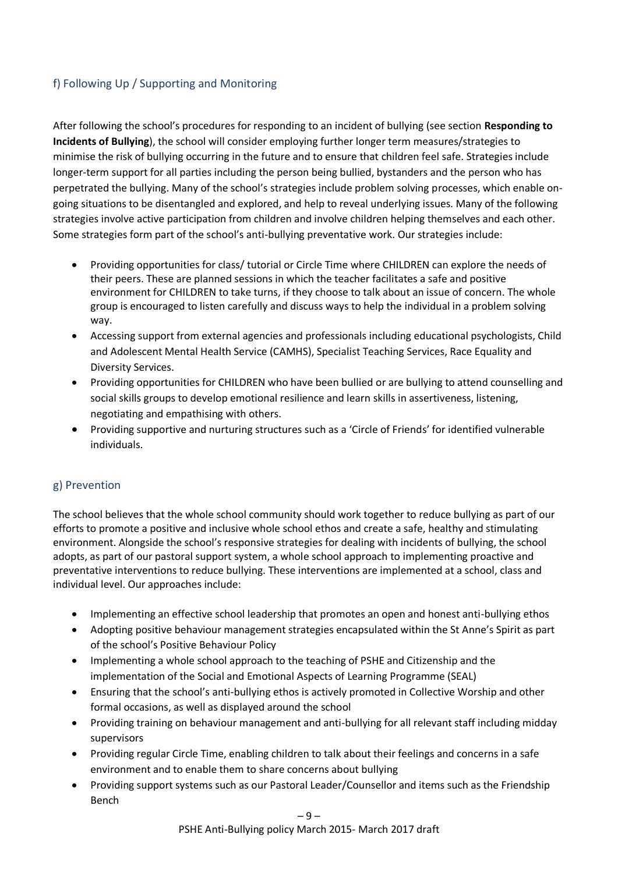## f) Following Up / Supporting and Monitoring

After following the school's procedures for responding to an incident of bullying (see section **Responding to Incidents of Bullying**), the school will consider employing further longer term measures/strategies to minimise the risk of bullying occurring in the future and to ensure that children feel safe. Strategies include longer-term support for all parties including the person being bullied, bystanders and the person who has perpetrated the bullying. Many of the school's strategies include problem solving processes, which enable ongoing situations to be disentangled and explored, and help to reveal underlying issues. Many of the following strategies involve active participation from children and involve children helping themselves and each other. Some strategies form part of the school's anti-bullying preventative work. Our strategies include:

- Providing opportunities for class/ tutorial or Circle Time where CHILDREN can explore the needs of their peers. These are planned sessions in which the teacher facilitates a safe and positive environment for CHILDREN to take turns, if they choose to talk about an issue of concern. The whole group is encouraged to listen carefully and discuss ways to help the individual in a problem solving way.
- Accessing support from external agencies and professionals including educational psychologists, Child and Adolescent Mental Health Service (CAMHS), Specialist Teaching Services, Race Equality and Diversity Services.
- Providing opportunities for CHILDREN who have been bullied or are bullying to attend counselling and social skills groups to develop emotional resilience and learn skills in assertiveness, listening, negotiating and empathising with others.
- Providing supportive and nurturing structures such as a 'Circle of Friends' for identified vulnerable individuals.

## g) Prevention

The school believes that the whole school community should work together to reduce bullying as part of our efforts to promote a positive and inclusive whole school ethos and create a safe, healthy and stimulating environment. Alongside the school's responsive strategies for dealing with incidents of bullying, the school adopts, as part of our pastoral support system, a whole school approach to implementing proactive and preventative interventions to reduce bullying. These interventions are implemented at a school, class and individual level. Our approaches include:

- Implementing an effective school leadership that promotes an open and honest anti-bullying ethos
- Adopting positive behaviour management strategies encapsulated within the St Anne's Spirit as part of the school's Positive Behaviour Policy
- Implementing a whole school approach to the teaching of PSHE and Citizenship and the implementation of the Social and Emotional Aspects of Learning Programme (SEAL)
- Ensuring that the school's anti-bullying ethos is actively promoted in Collective Worship and other formal occasions, as well as displayed around the school
- Providing training on behaviour management and anti-bullying for all relevant staff including midday supervisors
- Providing regular Circle Time, enabling children to talk about their feelings and concerns in a safe environment and to enable them to share concerns about bullying
- Providing support systems such as our Pastoral Leader/Counsellor and items such as the Friendship Bench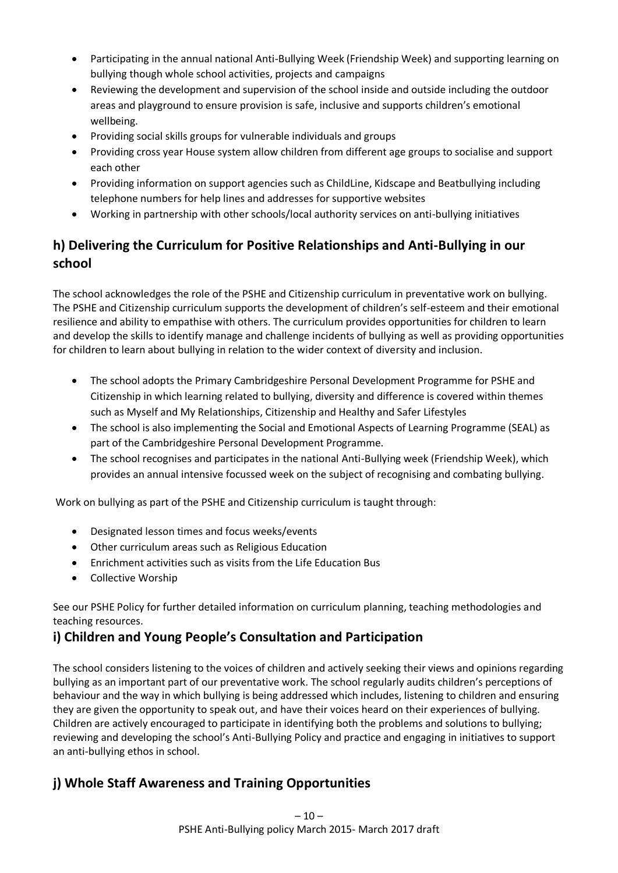- Participating in the annual national Anti-Bullying Week (Friendship Week) and supporting learning on bullying though whole school activities, projects and campaigns
- Reviewing the development and supervision of the school inside and outside including the outdoor areas and playground to ensure provision is safe, inclusive and supports children's emotional wellbeing.
- Providing social skills groups for vulnerable individuals and groups
- Providing cross year House system allow children from different age groups to socialise and support each other
- Providing information on support agencies such as ChildLine, Kidscape and Beatbullying including telephone numbers for help lines and addresses for supportive websites
- Working in partnership with other schools/local authority services on anti-bullying initiatives

# **h) Delivering the Curriculum for Positive Relationships and Anti-Bullying in our school**

The school acknowledges the role of the PSHE and Citizenship curriculum in preventative work on bullying. The PSHE and Citizenship curriculum supports the development of children's self-esteem and their emotional resilience and ability to empathise with others. The curriculum provides opportunities for children to learn and develop the skills to identify manage and challenge incidents of bullying as well as providing opportunities for children to learn about bullying in relation to the wider context of diversity and inclusion.

- The school adopts the Primary Cambridgeshire Personal Development Programme for PSHE and Citizenship in which learning related to bullying, diversity and difference is covered within themes such as Myself and My Relationships, Citizenship and Healthy and Safer Lifestyles
- The school is also implementing the Social and Emotional Aspects of Learning Programme (SEAL) as part of the Cambridgeshire Personal Development Programme.
- The school recognises and participates in the national Anti-Bullying week (Friendship Week), which provides an annual intensive focussed week on the subject of recognising and combating bullying.

Work on bullying as part of the PSHE and Citizenship curriculum is taught through:

- Designated lesson times and focus weeks/events
- Other curriculum areas such as Religious Education
- Enrichment activities such as visits from the Life Education Bus
- Collective Worship

See our PSHE Policy for further detailed information on curriculum planning, teaching methodologies and teaching resources.

## **i) Children and Young People's Consultation and Participation**

The school considers listening to the voices of children and actively seeking their views and opinions regarding bullying as an important part of our preventative work. The school regularly audits children's perceptions of behaviour and the way in which bullying is being addressed which includes, listening to children and ensuring they are given the opportunity to speak out, and have their voices heard on their experiences of bullying. Children are actively encouraged to participate in identifying both the problems and solutions to bullying; reviewing and developing the school's Anti-Bullying Policy and practice and engaging in initiatives to support an anti-bullying ethos in school.

## **j) Whole Staff Awareness and Training Opportunities**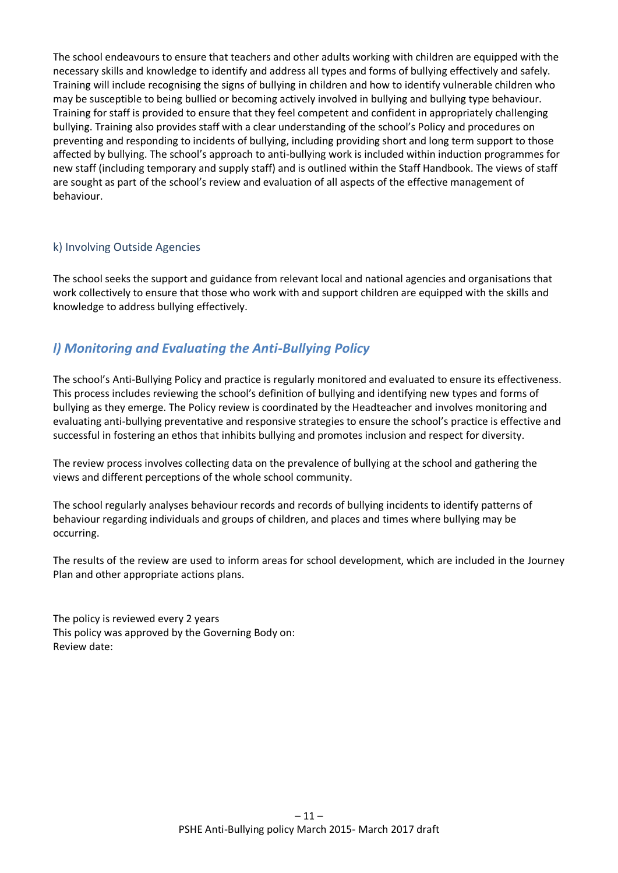The school endeavours to ensure that teachers and other adults working with children are equipped with the necessary skills and knowledge to identify and address all types and forms of bullying effectively and safely. Training will include recognising the signs of bullying in children and how to identify vulnerable children who may be susceptible to being bullied or becoming actively involved in bullying and bullying type behaviour. Training for staff is provided to ensure that they feel competent and confident in appropriately challenging bullying. Training also provides staff with a clear understanding of the school's Policy and procedures on preventing and responding to incidents of bullying, including providing short and long term support to those affected by bullying. The school's approach to anti-bullying work is included within induction programmes for new staff (including temporary and supply staff) and is outlined within the Staff Handbook. The views of staff are sought as part of the school's review and evaluation of all aspects of the effective management of behaviour.

## k) Involving Outside Agencies

The school seeks the support and guidance from relevant local and national agencies and organisations that work collectively to ensure that those who work with and support children are equipped with the skills and knowledge to address bullying effectively.

## *l) Monitoring and Evaluating the Anti-Bullying Policy*

The school's Anti-Bullying Policy and practice is regularly monitored and evaluated to ensure its effectiveness. This process includes reviewing the school's definition of bullying and identifying new types and forms of bullying as they emerge. The Policy review is coordinated by the Headteacher and involves monitoring and evaluating anti-bullying preventative and responsive strategies to ensure the school's practice is effective and successful in fostering an ethos that inhibits bullying and promotes inclusion and respect for diversity.

The review process involves collecting data on the prevalence of bullying at the school and gathering the views and different perceptions of the whole school community.

The school regularly analyses behaviour records and records of bullying incidents to identify patterns of behaviour regarding individuals and groups of children, and places and times where bullying may be occurring.

The results of the review are used to inform areas for school development, which are included in the Journey Plan and other appropriate actions plans.

The policy is reviewed every 2 years This policy was approved by the Governing Body on: Review date: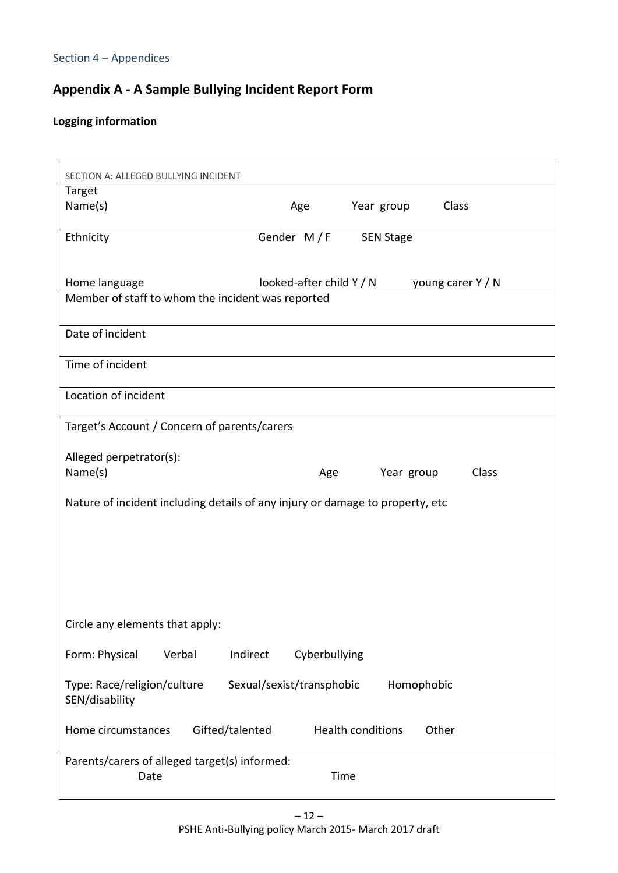# **Appendix A - A Sample Bullying Incident Report Form**

# **Logging information**

| SECTION A: ALLEGED BULLYING INCIDENT                                                                                |                           |                     |  |  |  |
|---------------------------------------------------------------------------------------------------------------------|---------------------------|---------------------|--|--|--|
| Target                                                                                                              |                           |                     |  |  |  |
| Name(s)                                                                                                             | Age                       | Year group<br>Class |  |  |  |
| Ethnicity                                                                                                           | Gender M/F                | <b>SEN Stage</b>    |  |  |  |
| Home language<br>looked-after child Y / N<br>young carer Y / N<br>Member of staff to whom the incident was reported |                           |                     |  |  |  |
|                                                                                                                     |                           |                     |  |  |  |
| Date of incident                                                                                                    |                           |                     |  |  |  |
| Time of incident                                                                                                    |                           |                     |  |  |  |
| Location of incident                                                                                                |                           |                     |  |  |  |
| Target's Account / Concern of parents/carers                                                                        |                           |                     |  |  |  |
| Alleged perpetrator(s):                                                                                             |                           |                     |  |  |  |
| Name(s)                                                                                                             | Age                       | Class<br>Year group |  |  |  |
| Nature of incident including details of any injury or damage to property, etc                                       |                           |                     |  |  |  |
|                                                                                                                     |                           |                     |  |  |  |
|                                                                                                                     |                           |                     |  |  |  |
|                                                                                                                     |                           |                     |  |  |  |
| Circle any elements that apply:                                                                                     |                           |                     |  |  |  |
| Form: Physical<br>Verbal                                                                                            | Indirect<br>Cyberbullying |                     |  |  |  |
|                                                                                                                     |                           |                     |  |  |  |
| Type: Race/religion/culture<br>SEN/disability                                                                       | Sexual/sexist/transphobic | Homophobic          |  |  |  |
| Gifted/talented<br>Home circumstances                                                                               | <b>Health conditions</b>  | Other               |  |  |  |
| Parents/carers of alleged target(s) informed:<br>Time<br>Date                                                       |                           |                     |  |  |  |